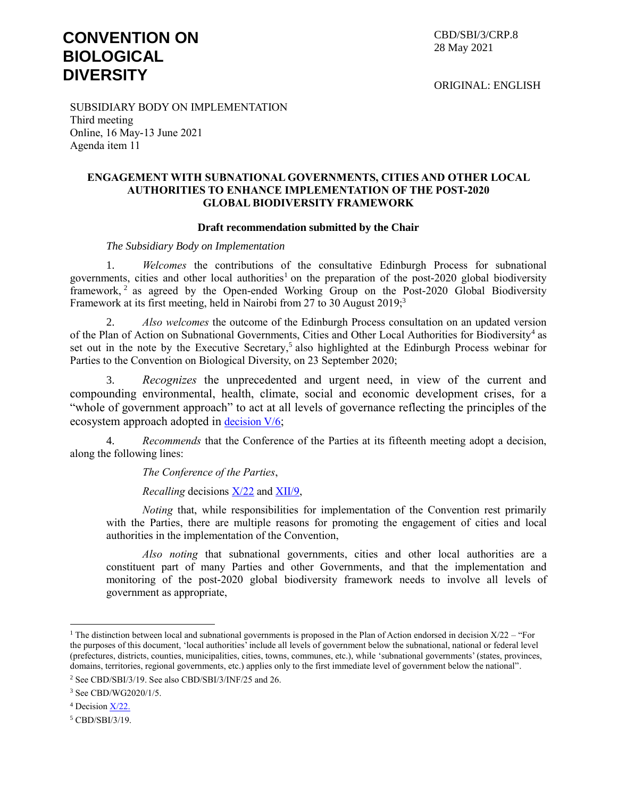# **CONVENTION ON BIOLOGICAL DIVERSITY**

CBD/SBI/3/CRP.8 28 May 2021

ORIGINAL: ENGLISH

SUBSIDIARY BODY ON IMPLEMENTATION Third meeting Online, 16 May-13 June 2021 Agenda item 11

#### **ENGAGEMENT WITH SUBNATIONAL GOVERNMENTS, CITIES AND OTHER LOCAL AUTHORITIES TO ENHANCE IMPLEMENTATION OF THE POST-2020 GLOBAL BIODIVERSITY FRAMEWORK**

#### **Draft recommendation submitted by the Chair**

#### *The Subsidiary Body on Implementation*

1. *Welcomes* the contributions of the consultative Edinburgh Process for subnational governments, cities and other local authorities<sup>1</sup> on the preparation of the post-2020 global biodiversity framework,<sup>2</sup> as agreed by the Open-ended Working Group on the Post-2020 Global Biodiversity Framework at its first meeting, held in Nairobi from 27 to 30 August 2019;<sup>3</sup>

2. *Also welcomes* the outcome of the Edinburgh Process consultation on an updated version of the Plan of Action on Subnational Governments, Cities and Other Local Authorities for Biodiversity<sup>4</sup> as set out in the note by the Executive Secretary,<sup>5</sup> also highlighted at the Edinburgh Process webinar for Parties to the Convention on Biological Diversity, on 23 September 2020;

3. *Recognizes* the unprecedented and urgent need, in view of the current and compounding environmental, health, climate, social and economic development crises, for a "whole of government approach" to act at all levels of governance reflecting the principles of the ecosystem approach adopted in [decision](https://www.cbd.int/doc/meetings/esa/ecosys-01/other/ecosys-01-dec-cop-05-06-en.pdf) V/6;

4. *Recommends* that the Conference of the Parties at its fifteenth meeting adopt a decision, along the following lines:

*The Conference of the Parties*,

*Recalling* decisions [X/22](https://www.cbd.int/doc/decisions/cop-10/cop-10-dec-22-en.pdf) and [XII/9,](https://www.cbd.int/doc/decisions/cop-12/cop-12-dec-09-en.pdf)

*Noting* that, while responsibilities for implementation of the Convention rest primarily with the Parties, there are multiple reasons for promoting the engagement of cities and local authorities in the implementation of the Convention,

*Also noting* that subnational governments, cities and other local authorities are a constituent part of many Parties and other Governments, and that the implementation and monitoring of the post-2020 global biodiversity framework needs to involve all levels of government as appropriate,

 $\overline{a}$ 

<sup>&</sup>lt;sup>1</sup> The distinction between local and subnational governments is proposed in the Plan of Action endorsed in decision  $X/22$  – "For the purposes of this document, 'local authorities' include all levels of government below the subnational, national or federal level (prefectures, districts, counties, municipalities, cities, towns, communes, etc.), while 'subnational governments' (states, provinces, domains, territories, regional governments, etc.) applies only to the first immediate level of government below the national". <sup>2</sup> See CBD/SBI/3/19. See also CBD/SBI/3/INF/25 and 26.

<sup>3</sup> See CBD/WG2020/1/5.

<sup>4</sup> Decision X/22.

<sup>5</sup> CBD/SBI/3/19.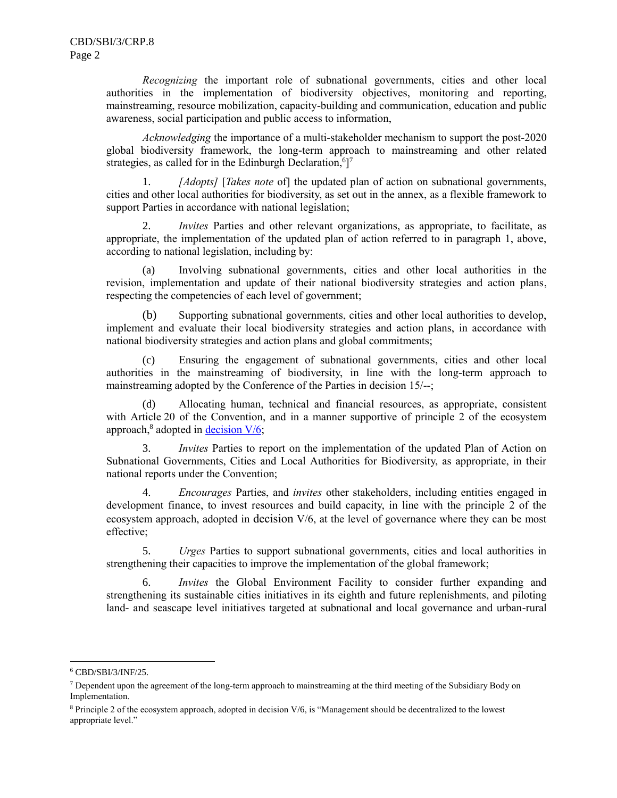*Recognizing* the important role of subnational governments, cities and other local authorities in the implementation of biodiversity objectives, monitoring and reporting, mainstreaming, resource mobilization, capacity-building and communication, education and public awareness, social participation and public access to information,

*Acknowledging* the importance of a multi-stakeholder mechanism to support the post-2020 global biodiversity framework, the long-term approach to mainstreaming and other related strategies, as called for in the Edinburgh Declaration,  $6$ <sup>7</sup>

1. *[Adopts]* [*Takes note* of] the updated plan of action on subnational governments, cities and other local authorities for biodiversity, as set out in the annex, as a flexible framework to support Parties in accordance with national legislation;

2. *Invites* Parties and other relevant organizations, as appropriate, to facilitate, as appropriate, the implementation of the updated plan of action referred to in paragraph 1, above, according to national legislation, including by:

(a) Involving subnational governments, cities and other local authorities in the revision, implementation and update of their national biodiversity strategies and action plans, respecting the competencies of each level of government;

Supporting subnational governments, cities and other local authorities to develop, implement and evaluate their local biodiversity strategies and action plans, in accordance with national biodiversity strategies and action plans and global commitments;

(c) Ensuring the engagement of subnational governments, cities and other local authorities in the mainstreaming of biodiversity, in line with the long-term approach to mainstreaming adopted by the Conference of the Parties in decision 15/--;

(d) Allocating human, technical and financial resources, as appropriate, consistent with Article 20 of the Convention, and in a manner supportive of principle 2 of the ecosystem approach,<sup>8</sup> adopted in **decision V/6**;

3. *Invites* Parties to report on the implementation of the updated Plan of Action on Subnational Governments, Cities and Local Authorities for Biodiversity, as appropriate, in their national reports under the Convention;

4. *Encourages* Parties, and *invites* other stakeholders, including entities engaged in development finance, to invest resources and build capacity, in line with the principle 2 of the ecosystem approach, adopted in decision V/6, at the level of governance where they can be most effective;

5. *Urges* Parties to support subnational governments, cities and local authorities in strengthening their capacities to improve the implementation of the global framework;

6. *Invites* the Global Environment Facility to consider further expanding and strengthening its sustainable cities initiatives in its eighth and future replenishments, and piloting land- and seascape level initiatives targeted at subnational and local governance and urban-rural

l

<sup>6</sup> CBD/SBI/3/INF/25.

 $<sup>7</sup>$  Dependent upon the agreement of the long-term approach to mainstreaming at the third meeting of the Subsidiary Body on</sup> Implementation.

<sup>8</sup> Principle 2 of the ecosystem approach, adopted in decision V/6, is "Management should be decentralized to the lowest appropriate level."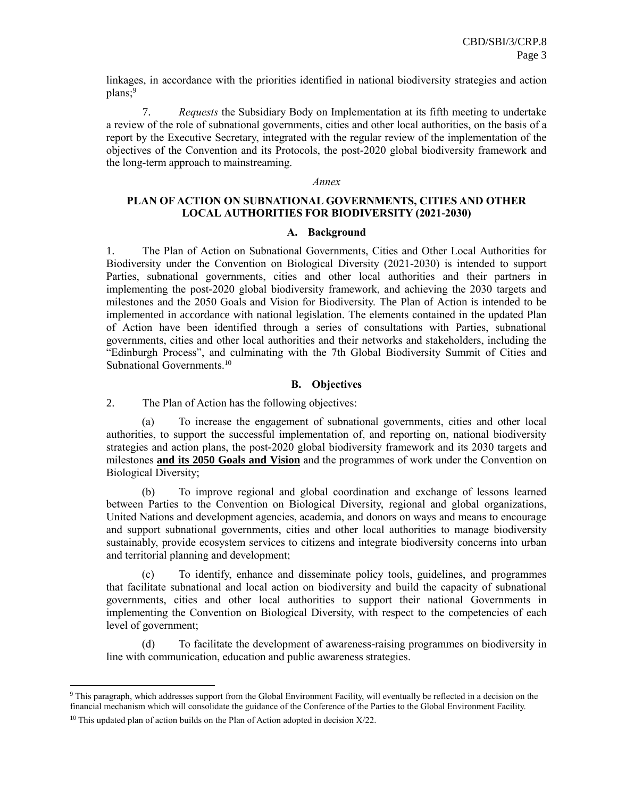linkages, in accordance with the priorities identified in national biodiversity strategies and action plans;<sup>9</sup>

7. *Requests* the Subsidiary Body on Implementation at its fifth meeting to undertake a review of the role of subnational governments, cities and other local authorities, on the basis of a report by the Executive Secretary, integrated with the regular review of the implementation of the objectives of the Convention and its Protocols, the post-2020 global biodiversity framework and the long-term approach to mainstreaming.

#### *Annex*

# **PLAN OF ACTION ON SUBNATIONAL GOVERNMENTS, CITIES AND OTHER LOCAL AUTHORITIES FOR BIODIVERSITY (2021-2030)**

#### **A. Background**

1. The Plan of Action on Subnational Governments, Cities and Other Local Authorities for Biodiversity under the Convention on Biological Diversity (2021-2030) is intended to support Parties, subnational governments, cities and other local authorities and their partners in implementing the post-2020 global biodiversity framework, and achieving the 2030 targets and milestones and the 2050 Goals and Vision for Biodiversity. The Plan of Action is intended to be implemented in accordance with national legislation. The elements contained in the updated Plan of Action have been identified through a series of consultations with Parties, subnational governments, cities and other local authorities and their networks and stakeholders, including the "Edinburgh Process", and culminating with the 7th Global Biodiversity Summit of Cities and Subnational Governments.<sup>10</sup>

#### **B. Objectives**

2. The Plan of Action has the following objectives:

(a) To increase the engagement of subnational governments, cities and other local authorities, to support the successful implementation of, and reporting on, national biodiversity strategies and action plans, the post-2020 global biodiversity framework and its 2030 targets and milestones **and its 2050 Goals and Vision** and the programmes of work under the Convention on Biological Diversity;

(b) To improve regional and global coordination and exchange of lessons learned between Parties to the Convention on Biological Diversity, regional and global organizations, United Nations and development agencies, academia, and donors on ways and means to encourage and support subnational governments, cities and other local authorities to manage biodiversity sustainably, provide ecosystem services to citizens and integrate biodiversity concerns into urban and territorial planning and development;

(c) To identify, enhance and disseminate policy tools, guidelines, and programmes that facilitate subnational and local action on biodiversity and build the capacity of subnational governments, cities and other local authorities to support their national Governments in implementing the Convention on Biological Diversity, with respect to the competencies of each level of government;

(d) To facilitate the development of awareness-raising programmes on biodiversity in line with communication, education and public awareness strategies.

 $\overline{a}$ 

<sup>9</sup> This paragraph, which addresses support from the Global Environment Facility, will eventually be reflected in a decision on the financial mechanism which will consolidate the guidance of the Conference of the Parties to the Global Environment Facility.

<sup>&</sup>lt;sup>10</sup> This updated plan of action builds on the Plan of Action adopted in decision  $X/22$ .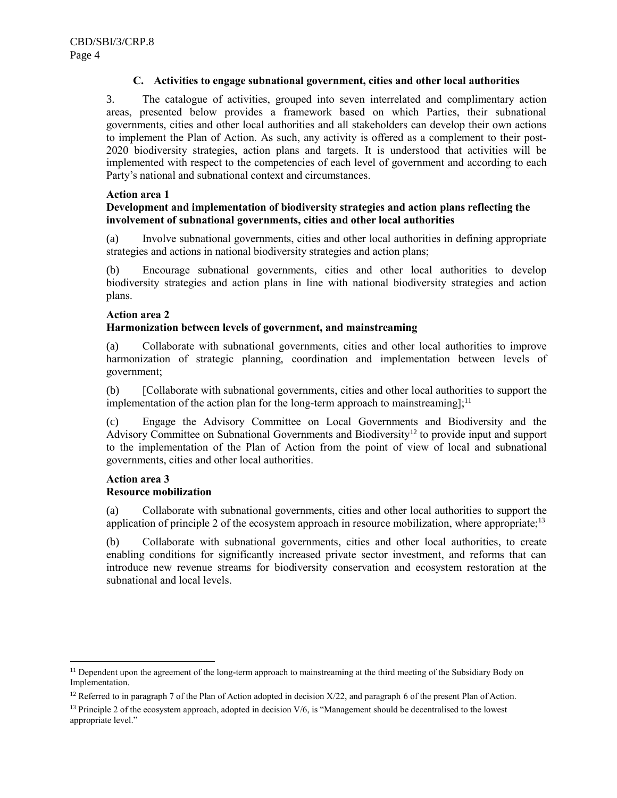### **C. Activities to engage subnational government, cities and other local authorities**

3. The catalogue of activities, grouped into seven interrelated and complimentary action areas, presented below provides a framework based on which Parties, their subnational governments, cities and other local authorities and all stakeholders can develop their own actions to implement the Plan of Action. As such, any activity is offered as a complement to their post-2020 biodiversity strategies, action plans and targets. It is understood that activities will be implemented with respect to the competencies of each level of government and according to each Party's national and subnational context and circumstances.

#### **Action area 1**

### **Development and implementation of biodiversity strategies and action plans reflecting the involvement of subnational governments, cities and other local authorities**

(a) Involve subnational governments, cities and other local authorities in defining appropriate strategies and actions in national biodiversity strategies and action plans;

(b) Encourage subnational governments, cities and other local authorities to develop biodiversity strategies and action plans in line with national biodiversity strategies and action plans.

#### **Action area 2**

#### **Harmonization between levels of government, and mainstreaming**

(a) Collaborate with subnational governments, cities and other local authorities to improve harmonization of strategic planning, coordination and implementation between levels of government;

(b) [Collaborate with subnational governments, cities and other local authorities to support the implementation of the action plan for the long-term approach to mainstreaming]:<sup>11</sup>

(c) Engage the Advisory Committee on Local Governments and Biodiversity and the Advisory Committee on Subnational Governments and Biodiversity<sup>12</sup> to provide input and support to the implementation of the Plan of Action from the point of view of local and subnational governments, cities and other local authorities.

### **Action area 3 Resource mobilization**

l

(a) Collaborate with subnational governments, cities and other local authorities to support the application of principle 2 of the ecosystem approach in resource mobilization, where appropriate; $^{13}$ 

(b) Collaborate with subnational governments, cities and other local authorities, to create enabling conditions for significantly increased private sector investment, and reforms that can introduce new revenue streams for biodiversity conservation and ecosystem restoration at the subnational and local levels.

<sup>&</sup>lt;sup>11</sup> Dependent upon the agreement of the long-term approach to mainstreaming at the third meeting of the Subsidiary Body on Implementation.

<sup>&</sup>lt;sup>12</sup> Referred to in paragraph 7 of the Plan of Action adopted in decision  $X/22$ , and paragraph [6](#page-5-0) of the present Plan of Action.

 $13$  Principle 2 of the ecosystem approach, adopted in decision  $V/6$ , is "Management should be decentralised to the lowest appropriate level."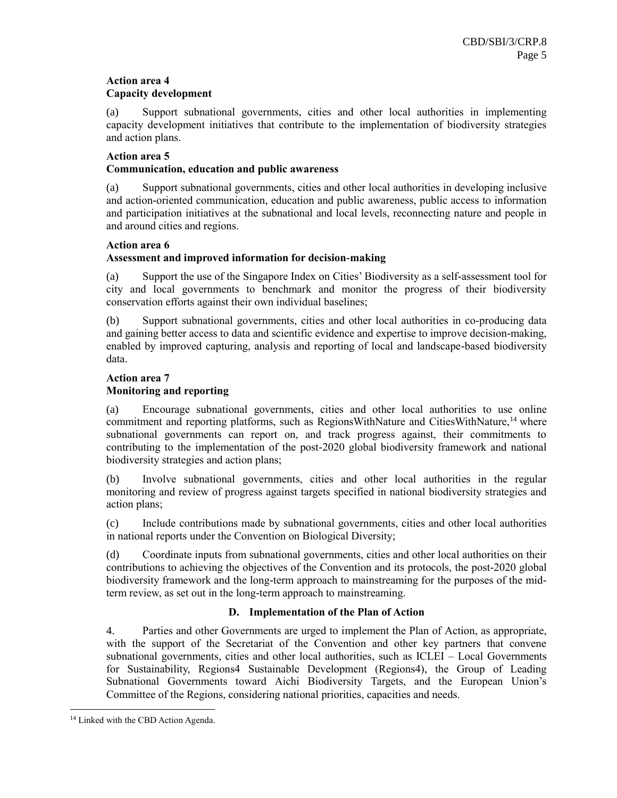#### **Action area 4 Capacity development**

(a) Support subnational governments, cities and other local authorities in implementing capacity development initiatives that contribute to the implementation of biodiversity strategies and action plans.

## **Action area 5**

## **Communication, education and public awareness**

(a) Support subnational governments, cities and other local authorities in developing inclusive and action-oriented communication, education and public awareness, public access to information and participation initiatives at the subnational and local levels, reconnecting nature and people in and around cities and regions.

## **Action area 6**

# **Assessment and improved information for decision-making**

(a) Support the use of the Singapore Index on Cities' Biodiversity as a self-assessment tool for city and local governments to benchmark and monitor the progress of their biodiversity conservation efforts against their own individual baselines;

(b) Support subnational governments, cities and other local authorities in co-producing data and gaining better access to data and scientific evidence and expertise to improve decision-making, enabled by improved capturing, analysis and reporting of local and landscape-based biodiversity data.

# **Action area 7**

# **Monitoring and reporting**

(a) Encourage subnational governments, cities and other local authorities to use online commitment and reporting platforms, such as RegionsWithNature and CitiesWithNature,<sup>14</sup> where subnational governments can report on, and track progress against, their commitments to contributing to the implementation of the post-2020 global biodiversity framework and national biodiversity strategies and action plans;

(b) Involve subnational governments, cities and other local authorities in the regular monitoring and review of progress against targets specified in national biodiversity strategies and action plans;

(c) Include contributions made by subnational governments, cities and other local authorities in national reports under the Convention on Biological Diversity;

(d) Coordinate inputs from subnational governments, cities and other local authorities on their contributions to achieving the objectives of the Convention and its protocols, the post-2020 global biodiversity framework and the long-term approach to mainstreaming for the purposes of the midterm review, as set out in the long-term approach to mainstreaming.

# **D. Implementation of the Plan of Action**

4. Parties and other Governments are urged to implement the Plan of Action, as appropriate, with the support of the Secretariat of the Convention and other key partners that convene subnational governments, cities and other local authorities, such as ICLEI – Local Governments for Sustainability, Regions4 Sustainable Development (Regions4), the Group of Leading Subnational Governments toward Aichi Biodiversity Targets, and the European Union's Committee of the Regions, considering national priorities, capacities and needs.

 $\overline{a}$ 

<sup>14</sup> Linked with the CBD Action Agenda.